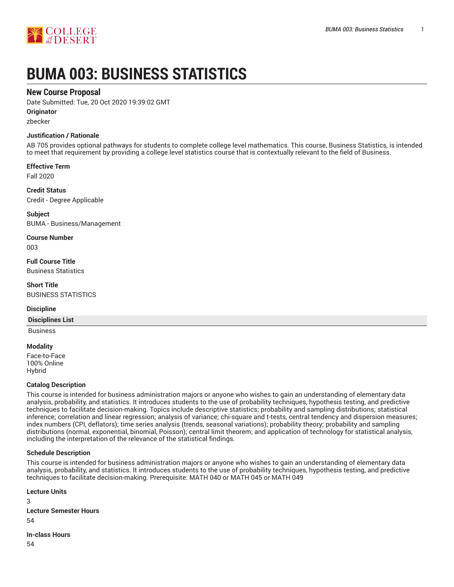

# **BUMA 003: BUSINESS STATISTICS**

# **New Course Proposal**

Date Submitted: Tue, 20 Oct 2020 19:39:02 GMT

**Originator**

zbecker

## **Justification / Rationale**

AB 705 provides optional pathways for students to complete college level mathematics. This course, Business Statistics, is intended to meet that requirement by providing a college level statistics course that is contextually relevant to the field of Business.

**Effective Term**

Fall 2020

**Credit Status** Credit - Degree Applicable

**Subject** BUMA - Business/Management

**Course Number** 003

**Full Course Title** Business Statistics

**Short Title** BUSINESS STATISTICS

## **Discipline**

## **Disciplines List**

Business

## **Modality**

Face-to-Face 100% Online Hybrid

## **Catalog Description**

This course is intended for business administration majors or anyone who wishes to gain an understanding of elementary data analysis, probability, and statistics. It introduces students to the use of probability techniques, hypothesis testing, and predictive techniques to facilitate decision-making. Topics include descriptive statistics; probability and sampling distributions; statistical inference; correlation and linear regression; analysis of variance; chi-square and t-tests, central tendency and dispersion measures; index numbers (CPI, deflators); time series analysis (trends, seasonal variations); probability theory; probability and sampling distributions (normal, exponential, binomial, Poisson); central limit theorem; and application of technology for statistical analysis, including the interpretation of the relevance of the statistical findings.

## **Schedule Description**

This course is intended for business administration majors or anyone who wishes to gain an understanding of elementary data analysis, probability, and statistics. It introduces students to the use of probability techniques, hypothesis testing, and predictive techniques to facilitate decision-making. Prerequisite: MATH 040 or MATH 045 or MATH 049

**Lecture Units** 3 **Lecture Semester Hours** 54 **In-class Hours** 54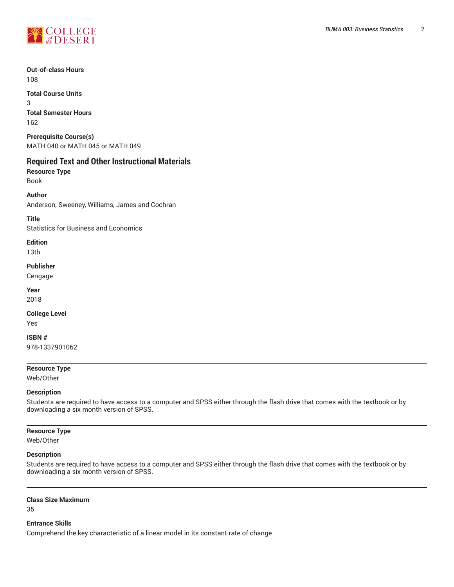

**Out-of-class Hours** 108

**Total Course Units** 3 **Total Semester Hours** 162

**Prerequisite Course(s)** MATH 040 or MATH 045 or MATH 049

# **Required Text and Other Instructional Materials**

**Resource Type** Book

**Author**

Anderson, Sweeney, Williams, James and Cochran

**Title**

Statistics for Business and Economics

**Edition**

13th

**Publisher**

Cengage

**Year** 2018

**College Level**

Yes

**ISBN #** 978-1337901062

## **Resource Type**

Web/Other

## **Description**

Students are required to have access to a computer and SPSS either through the flash drive that comes with the textbook or by downloading a six month version of SPSS.

## **Resource Type**

Web/Other

## **Description**

Students are required to have access to a computer and SPSS either through the flash drive that comes with the textbook or by downloading a six month version of SPSS.

#### **Class Size Maximum**

35

## **Entrance Skills**

Comprehend the key characteristic of a linear model in its constant rate of change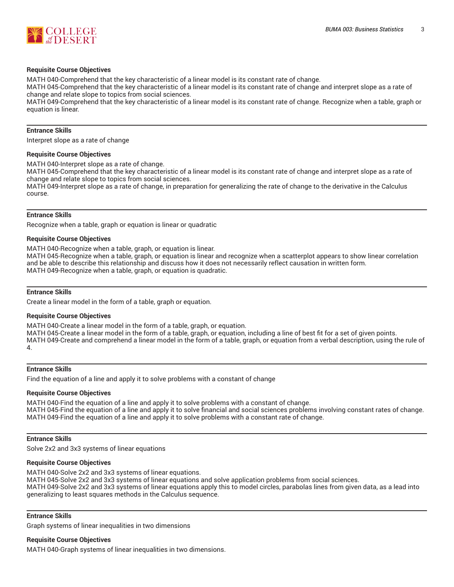

#### **Requisite Course Objectives**

MATH 040-Comprehend that the key characteristic of a linear model is its constant rate of change.

MATH 045-Comprehend that the key characteristic of a linear model is its constant rate of change and interpret slope as a rate of change and relate slope to topics from social sciences.

MATH 049-Comprehend that the key characteristic of a linear model is its constant rate of change. Recognize when a table, graph or equation is linear.

#### **Entrance Skills**

Interpret slope as a rate of change

#### **Requisite Course Objectives**

MATH 040-Interpret slope as a rate of change.

MATH 045-Comprehend that the key characteristic of a linear model is its constant rate of change and interpret slope as a rate of change and relate slope to topics from social sciences.

MATH 049-Interpret slope as a rate of change, in preparation for generalizing the rate of change to the derivative in the Calculus course.

#### **Entrance Skills**

Recognize when a table, graph or equation is linear or quadratic

#### **Requisite Course Objectives**

MATH 040-Recognize when a table, graph, or equation is linear.

MATH 045-Recognize when a table, graph, or equation is linear and recognize when a scatterplot appears to show linear correlation and be able to describe this relationship and discuss how it does not necessarily reflect causation in written form. MATH 049-Recognize when a table, graph, or equation is quadratic.

## **Entrance Skills**

Create a linear model in the form of a table, graph or equation.

#### **Requisite Course Objectives**

MATH 040-Create a linear model in the form of a table, graph, or equation. MATH 045-Create a linear model in the form of a table, graph, or equation, including a line of best fit for a set of given points. MATH 049-Create and comprehend a linear model in the form of a table, graph, or equation from a verbal description, using the rule of 4.

#### **Entrance Skills**

Find the equation of a line and apply it to solve problems with a constant of change

#### **Requisite Course Objectives**

MATH 040-Find the equation of a line and apply it to solve problems with a constant of change. MATH 045-Find the equation of a line and apply it to solve financial and social sciences problems involving constant rates of change. MATH 049-Find the equation of a line and apply it to solve problems with a constant rate of change.

#### **Entrance Skills**

Solve 2x2 and 3x3 systems of linear equations

#### **Requisite Course Objectives**

MATH 040-Solve 2x2 and 3x3 systems of linear equations. MATH 045-Solve 2x2 and 3x3 systems of linear equations and solve application problems from social sciences. MATH 049-Solve 2x2 and 3x3 systems of linear equations apply this to model circles, parabolas lines from given data, as a lead into generalizing to least squares methods in the Calculus sequence.

#### **Entrance Skills**

Graph systems of linear inequalities in two dimensions

#### **Requisite Course Objectives**

MATH 040-Graph systems of linear inequalities in two dimensions.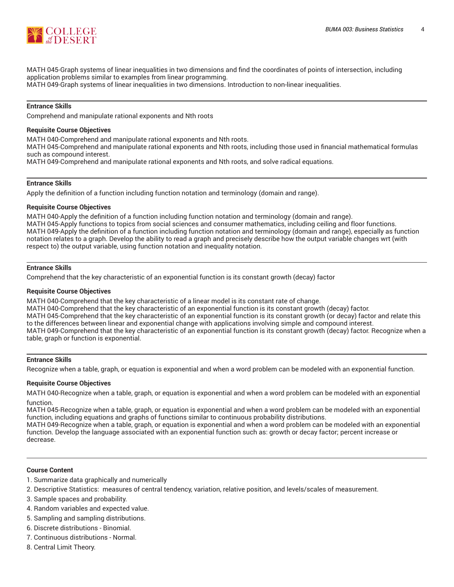

MATH 045-Graph systems of linear inequalities in two dimensions and find the coordinates of points of intersection, including application problems similar to examples from linear programming. MATH 049-Graph systems of linear inequalities in two dimensions. Introduction to non-linear inequalities.

#### **Entrance Skills**

Comprehend and manipulate rational exponents and Nth roots

#### **Requisite Course Objectives**

MATH 040-Comprehend and manipulate rational exponents and Nth roots.

MATH 045-Comprehend and manipulate rational exponents and Nth roots, including those used in financial mathematical formulas such as compound interest.

MATH 049-Comprehend and manipulate rational exponents and Nth roots, and solve radical equations.

## **Entrance Skills**

Apply the definition of a function including function notation and terminology (domain and range).

#### **Requisite Course Objectives**

MATH 040-Apply the definition of a function including function notation and terminology (domain and range). MATH 045-Apply functions to topics from social sciences and consumer mathematics, including ceiling and floor functions. MATH 049-Apply the definition of a function including function notation and terminology (domain and range), especially as function notation relates to a graph. Develop the ability to read a graph and precisely describe how the output variable changes wrt (with respect to) the output variable, using function notation and inequality notation.

#### **Entrance Skills**

Comprehend that the key characteristic of an exponential function is its constant growth (decay) factor

#### **Requisite Course Objectives**

MATH 040-Comprehend that the key characteristic of a linear model is its constant rate of change. MATH 040-Comprehend that the key characteristic of an exponential function is its constant growth (decay) factor. MATH 045-Comprehend that the key characteristic of an exponential function is its constant growth (or decay) factor and relate this to the differences between linear and exponential change with applications involving simple and compound interest. MATH 049-Comprehend that the key characteristic of an exponential function is its constant growth (decay) factor. Recognize when a table, graph or function is exponential.

#### **Entrance Skills**

Recognize when a table, graph, or equation is exponential and when a word problem can be modeled with an exponential function.

#### **Requisite Course Objectives**

MATH 040-Recognize when a table, graph, or equation is exponential and when a word problem can be modeled with an exponential function.

MATH 045-Recognize when a table, graph, or equation is exponential and when a word problem can be modeled with an exponential function, including equations and graphs of functions similar to continuous probability distributions.

MATH 049-Recognize when a table, graph, or equation is exponential and when a word problem can be modeled with an exponential function. Develop the language associated with an exponential function such as: growth or decay factor; percent increase or decrease.

#### **Course Content**

- 1. Summarize data graphically and numerically
- 2. Descriptive Statistics: measures of central tendency, variation, relative position, and levels/scales of measurement.
- 3. Sample spaces and probability.
- 4. Random variables and expected value.
- 5. Sampling and sampling distributions.
- 6. Discrete distributions Binomial.
- 7. Continuous distributions Normal.
- 8. Central Limit Theory.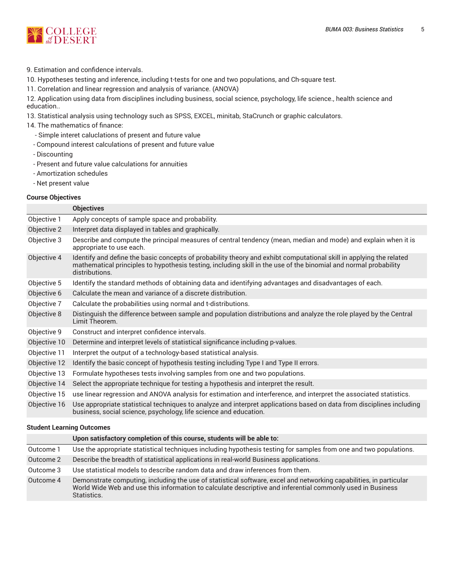

9. Estimation and confidence intervals.

10. Hypotheses testing and inference, including t-tests for one and two populations, and Ch-square test.

11. Correlation and linear regression and analysis of variance. (ANOVA)

12. Application using data from disciplines including business, social science, psychology, life science., health science and education..

13. Statistical analysis using technology such as SPSS, EXCEL, minitab, StaCrunch or graphic calculators.

## 14. The mathematics of finance:

- Simple interet caluclations of present and future value
- Compound interest calculations of present and future value
- Discounting
- Present and future value calculations for annuities
- Amortization schedules
- Net present value

## **Course Objectives**

|              | <b>Objectives</b>                                                                                                                                                                                                                                         |  |  |
|--------------|-----------------------------------------------------------------------------------------------------------------------------------------------------------------------------------------------------------------------------------------------------------|--|--|
| Objective 1  | Apply concepts of sample space and probability.                                                                                                                                                                                                           |  |  |
| Objective 2  | Interpret data displayed in tables and graphically.                                                                                                                                                                                                       |  |  |
| Objective 3  | Describe and compute the principal measures of central tendency (mean, median and mode) and explain when it is<br>appropriate to use each.                                                                                                                |  |  |
| Objective 4  | Identify and define the basic concepts of probability theory and exhibt computational skill in applying the related<br>mathematical principles to hypothesis testing, including skill in the use of the binomial and normal probability<br>distributions. |  |  |
| Objective 5  | Identify the standard methods of obtaining data and identifying advantages and disadvantages of each.                                                                                                                                                     |  |  |
| Objective 6  | Calculate the mean and variance of a discrete distribution.                                                                                                                                                                                               |  |  |
| Objective 7  | Calculate the probabilities using normal and t-distributions.                                                                                                                                                                                             |  |  |
| Objective 8  | Distinguish the difference between sample and population distributions and analyze the role played by the Central<br>Limit Theorem.                                                                                                                       |  |  |
| Objective 9  | Construct and interpret confidence intervals.                                                                                                                                                                                                             |  |  |
| Objective 10 | Determine and interpret levels of statistical significance including p-values.                                                                                                                                                                            |  |  |
| Objective 11 | Interpret the output of a technology-based statistical analysis.                                                                                                                                                                                          |  |  |
| Objective 12 | Identify the basic concept of hypothesis testing including Type I and Type II errors.                                                                                                                                                                     |  |  |
| Objective 13 | Formulate hypotheses tests involving samples from one and two populations.                                                                                                                                                                                |  |  |
| Objective 14 | Select the appropriate technique for testing a hypothesis and interpret the result.                                                                                                                                                                       |  |  |
| Objective 15 | use linear regression and ANOVA analysis for estimation and interference, and interpret the associated statistics.                                                                                                                                        |  |  |
| Objective 16 | Use appropriate statistical techniques to analyze and interpret applications based on data from disciplines including<br>business, social science, psychology, life science and education.                                                                |  |  |

## **Student Learning Outcomes**

|           | Upon satisfactory completion of this course, students will be able to:                                                                                                                                                                          |  |
|-----------|-------------------------------------------------------------------------------------------------------------------------------------------------------------------------------------------------------------------------------------------------|--|
| Outcome 1 | Use the appropriate statistical techniques including hypothesis testing for samples from one and two populations.                                                                                                                               |  |
| Outcome 2 | Describe the breadth of statistical applications in real-world Business applications.                                                                                                                                                           |  |
| Outcome 3 | Use statistical models to describe random data and draw inferences from them.                                                                                                                                                                   |  |
| Outcome 4 | Demonstrate computing, including the use of statistical software, excel and networking capabilities, in particular<br>World Wide Web and use this information to calculate descriptive and inferential commonly used in Business<br>Statistics. |  |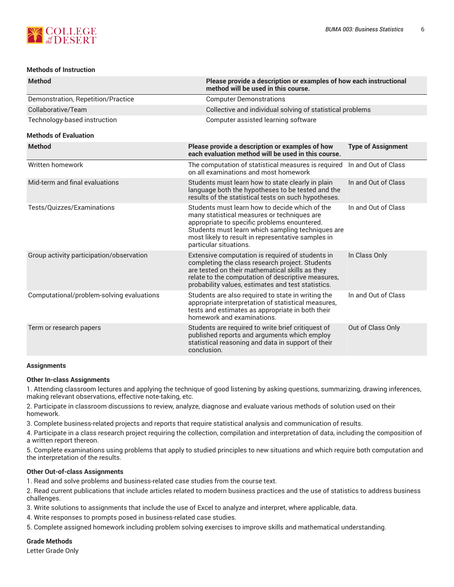

## **Methods of Instruction**

| <b>Method</b>                             | method will be used in this course.                                                                                                                                                                                                                                                | Please provide a description or examples of how each instructional |  |  |  |
|-------------------------------------------|------------------------------------------------------------------------------------------------------------------------------------------------------------------------------------------------------------------------------------------------------------------------------------|--------------------------------------------------------------------|--|--|--|
| Demonstration, Repetition/Practice        | <b>Computer Demonstrations</b>                                                                                                                                                                                                                                                     |                                                                    |  |  |  |
| Collaborative/Team                        |                                                                                                                                                                                                                                                                                    | Collective and individual solving of statistical problems          |  |  |  |
| Technology-based instruction              | Computer assisted learning software                                                                                                                                                                                                                                                |                                                                    |  |  |  |
| <b>Methods of Evaluation</b>              |                                                                                                                                                                                                                                                                                    |                                                                    |  |  |  |
| <b>Method</b>                             | Please provide a description or examples of how<br>each evaluation method will be used in this course.                                                                                                                                                                             | <b>Type of Assignment</b>                                          |  |  |  |
| Written homework                          | The computation of statistical measures is required<br>on all examinations and most homework                                                                                                                                                                                       | In and Out of Class                                                |  |  |  |
| Mid-term and final evaluations            | Students must learn how to state clearly in plain<br>language both the hypotheses to be tested and the<br>results of the statistical tests on such hypotheses.                                                                                                                     | In and Out of Class                                                |  |  |  |
| Tests/Quizzes/Examinations                | Students must learn how to decide which of the<br>many statistical measures or techniques are<br>appropriate to specific problems enountered.<br>Students must learn which sampling techniques are<br>most likely to result in representative samples in<br>particular situations. | In and Out of Class                                                |  |  |  |
| Group activity participation/observation  | Extensive computation is required of students in<br>completing the class research project. Students<br>are tested on their mathematical skills as they<br>relate to the computation of descriptive measures,<br>probability values, estimates and test statistics.                 | In Class Only                                                      |  |  |  |
| Computational/problem-solving evaluations | Students are also required to state in writing the<br>appropriate interpretation of statistical measures,<br>tests and estimates as appropriate in both their<br>homework and examinations.                                                                                        | In and Out of Class                                                |  |  |  |
| Term or research papers                   | Students are required to write brief critiquest of<br>published reports and arguments which employ<br>statistical reasoning and data in support of their<br>conclusion.                                                                                                            | Out of Class Only                                                  |  |  |  |
|                                           |                                                                                                                                                                                                                                                                                    |                                                                    |  |  |  |

## **Assignments**

## **Other In-class Assignments**

1. Attending classroom lectures and applying the technique of good listening by asking questions, summarizing, drawing inferences, making relevant observations, effective note-taking, etc.

2. Participate in classroom discussions to review, analyze, diagnose and evaluate various methods of solution used on their homework.

3. Complete business-related projects and reports that require statistical analysis and communication of results.

4. Participate in a class research project requiring the collection, compilation and interpretation of data, including the composition of a written report thereon.

5. Complete examinations using problems that apply to studied principles to new situations and which require both computation and the interpretation of the results.

## **Other Out-of-class Assignments**

1. Read and solve problems and business-related case studies from the course text.

2. Read current publications that include articles related to modern business practices and the use of statistics to address business challenges.

3. Write solutions to assignments that include the use of Excel to analyze and interpret, where applicable, data.

4. Write responses to prompts posed in business-related case studies.

5. Complete assigned homework including problem solving exercises to improve skills and mathematical understanding.

## **Grade Methods**

Letter Grade Only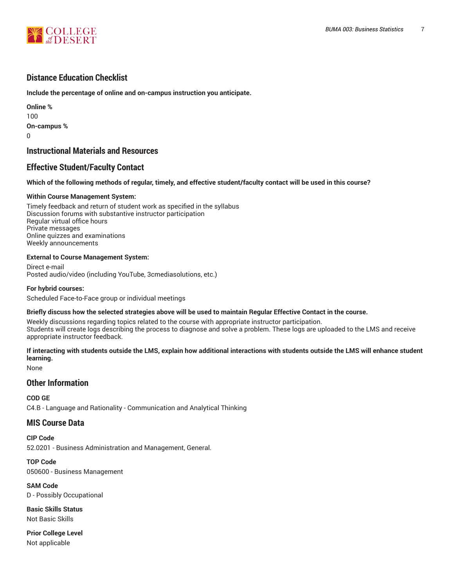

# **Distance Education Checklist**

**Include the percentage of online and on-campus instruction you anticipate.**

**Online %** 100 **On-campus %**  $\Omega$ 

# **Instructional Materials and Resources**

# **Effective Student/Faculty Contact**

#### Which of the following methods of regular, timely, and effective student/faculty contact will be used in this course?

#### **Within Course Management System:**

Timely feedback and return of student work as specified in the syllabus Discussion forums with substantive instructor participation Regular virtual office hours Private messages Online quizzes and examinations Weekly announcements

#### **External to Course Management System:**

Direct e-mail Posted audio/video (including YouTube, 3cmediasolutions, etc.)

#### **For hybrid courses:**

Scheduled Face-to-Face group or individual meetings

#### Briefly discuss how the selected strategies above will be used to maintain Regular Effective Contact in the course.

Weekly discussions regarding topics related to the course with appropriate instructor participation. Students will create logs describing the process to diagnose and solve a problem. These logs are uploaded to the LMS and receive appropriate instructor feedback.

## **If interacting with students outside the LMS, explain how additional interactions with students outside the LMS will enhance student learning.**

None

# **Other Information**

**COD GE** C4.B - Language and Rationality - Communication and Analytical Thinking

## **MIS Course Data**

**CIP Code** 52.0201 - Business Administration and Management, General.

**TOP Code** 050600 - Business Management

**SAM Code** D - Possibly Occupational

**Basic Skills Status** Not Basic Skills

**Prior College Level** Not applicable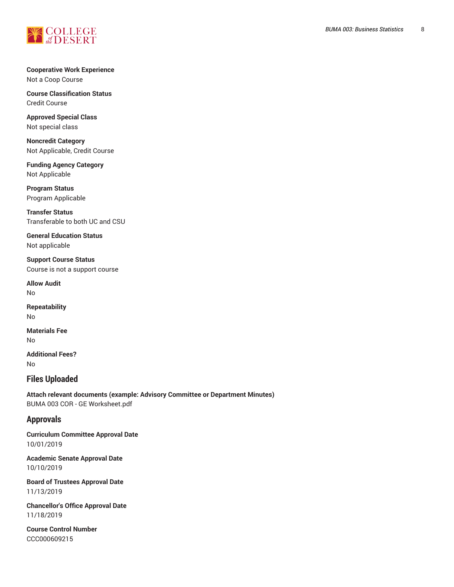

**Cooperative Work Experience** Not a Coop Course

**Course Classification Status** Credit Course

**Approved Special Class** Not special class

**Noncredit Category** Not Applicable, Credit Course

**Funding Agency Category** Not Applicable

**Program Status** Program Applicable

**Transfer Status** Transferable to both UC and CSU

**General Education Status** Not applicable

**Support Course Status** Course is not a support course

**Allow Audit** No

**Repeatability** No

**Materials Fee** No

**Additional Fees?** No

# **Files Uploaded**

**Attach relevant documents (example: Advisory Committee or Department Minutes)** BUMA 003 COR - GE Worksheet.pdf

# **Approvals**

**Curriculum Committee Approval Date** 10/01/2019

**Academic Senate Approval Date** 10/10/2019

**Board of Trustees Approval Date** 11/13/2019

**Chancellor's Office Approval Date** 11/18/2019

**Course Control Number** CCC000609215